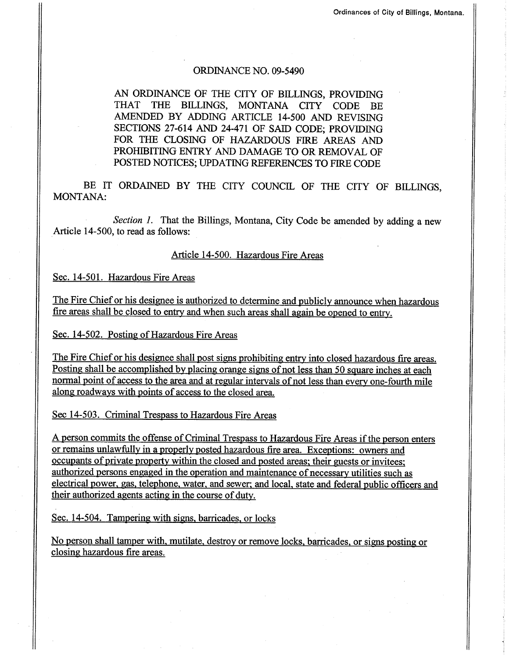## ORDINANCE NO. 09-5490

AN ORDINANCE OF THE CITY OF BILLINGS, PROVIDING THAT THE BILLINGS, MONTANA CITY CODE BE AMENDED BY ADDING ARTICLE 14-5OO AND REVISING SECTIONS 27-614 AND 24-471 OF SAID CODE; PROVIDING FOR THE CLOSING OF HAZARDOUS FIRE AREAS AND PROHIBITING ENTRY AND DAMAGE TO OR REMOVAL OF POSTED NOTICES; UPDATING REFERENCES TO FIRE CODE

BE IT ORDAINED BY THE CITY COUNCIL OF THE CITY OF BILLINGS. MONTANA:

Section 1. That the Billings, Montana, City Code be amended by adding a new Article 14-500, to read as follows:

## Article 14-500. Hazardous Fire Areas

Sec. 14-501. Hazardous Fire Areas

The Fire Chief or his designee is authorized to determine and publicly announce when hazardous fire areas shall be closed to entry and when such areas shall again be opened to entry.

Sec. 14-502. Posting of Hazardous Fire Areas

The Fire Chief or his designee shall post signs prohibiting entry into closed hazardous fire areas. Posting shall be accomplished by placing orange signs of not less than 50 square inches at each normal point of access to the area and at regular intervals of not less than every one-fourth mile along roadways with points of access to the closed area.

Sec 14-503. Criminal Trespass to Hazardous Fire Areas

A oerson commits the offense of Criminal Trespass to Hazardous Fire Areas if the person enters or remains unlawfully in a properly posted hazardous fire area. Exceptions: owners and occupants of private property within the closed and posted areas; their guests or invitees; authorized persons engaged in the operation and maintenance of necessary utilities such as electrical power. eas. telephone. water. and sewer: and local. state and federal public officers and their authorized agents acting in the course of duty.

Sec. 14-504. Tampering with signs, barricades, or locks

No person shall tamper with, mutilate, destroy or remove locks, barricades, or signs posting or closing hazardous fire areas.